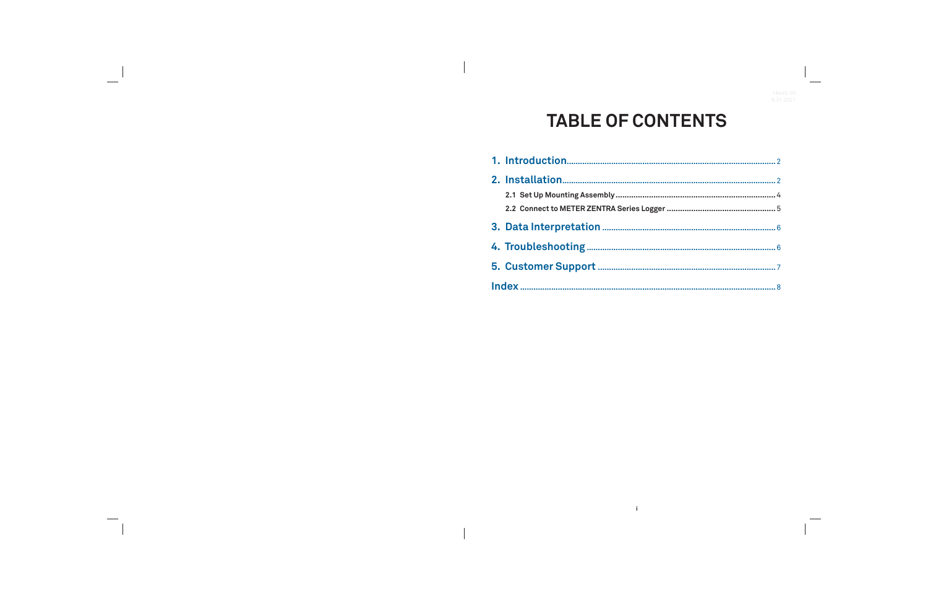# **TABLE OF CONTENTS**

 $\mathbf{r}$ 

|  | 2.1 Set Up Mounting Assembly              |  |
|--|-------------------------------------------|--|
|  | 2.2 Connect to METER ZENTRA Series Logger |  |
|  |                                           |  |
|  |                                           |  |
|  |                                           |  |
|  |                                           |  |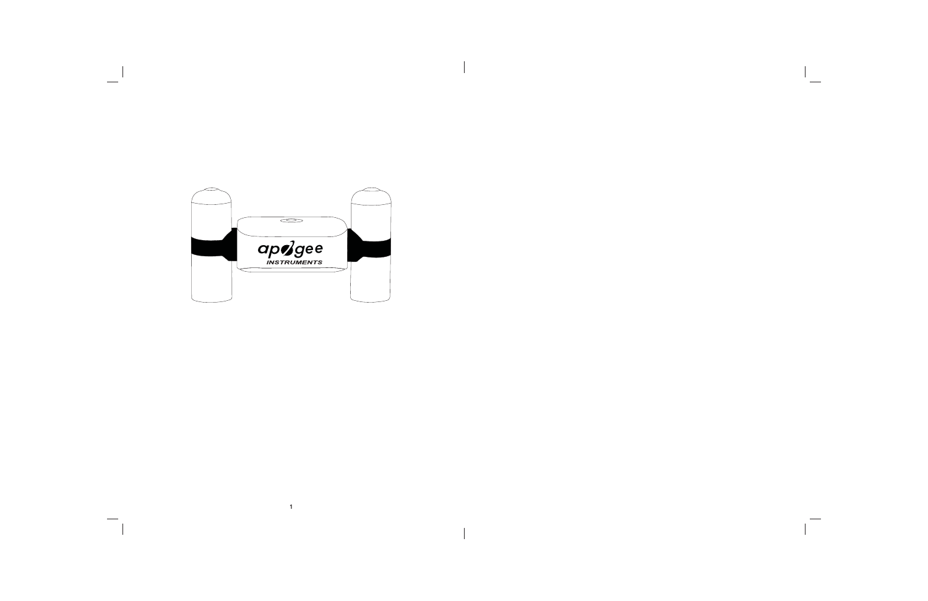

 $\overline{1}$ 

 $\overline{\phantom{a}}$ 

 $\overline{\phantom{a}}$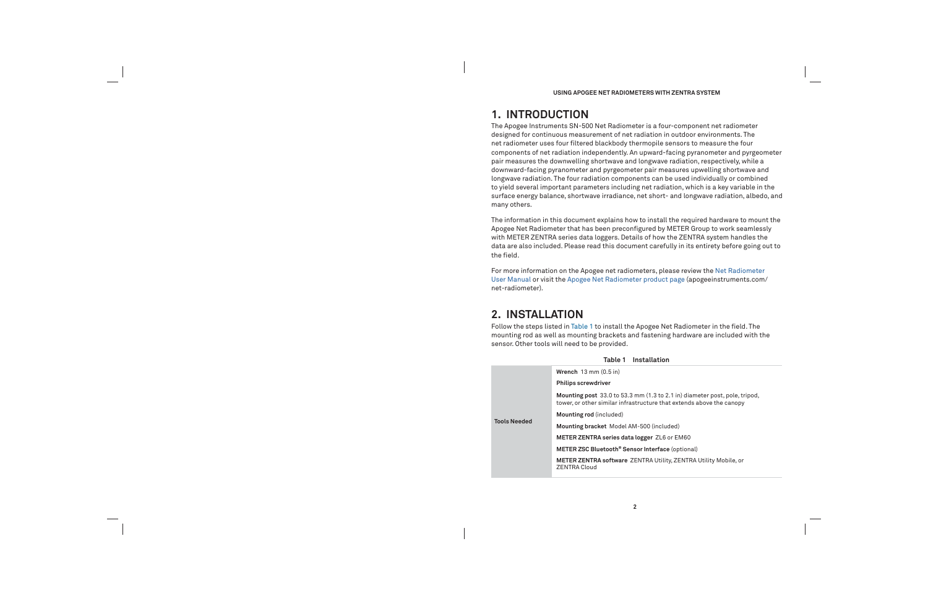### **USING APOGEE NET RADIOMETERS WITH ZENTRA SYSTEM**

## **1. INTRODUCTION**

The Apogee Instruments SN-500 Net Radiometer is a four-component net radiometer designed for continuous measurement of net radiation in outdoor environments. The net radiometer uses four filtered blackbody thermopile sensors to measure the four components of net radiation independently. An upward-facing pyranometer and pyrgeometer pair measures the downwelling shortwave and longwave radiation, respectively, while a downward-facing pyranometer and pyrgeometer pair measures upwelling shortwave and longwave radiation. The four radiation components can be used individually or combined to yield several important parameters including net radiation, which is a key variable in the surface energy balance, shortwave irradiance, net short- and longwave radiation, albedo, and many others.

The information in this document explains how to install the required hardware to mount the Apogee Net Radiometer that has been preconfigured by METER Group to work seamlessly with METER ZENTRA series data loggers. Details of how the ZENTRA system handles the data are also included. Please read this document carefully in its entirety before going out to the field.

For more information on the Apogee net radiometers, please review the Net Radiometer User Manual or visit the Apogee Net Radiometer product page (apogeeinstruments.com/ net-radiometer).

## **2. INSTALLATION**

**Tools N** 

Follow the steps listed in Table 1 to install the Apogee Net Radiometer in the field. The mounting rod as well as mounting brackets and fastening hardware are included with the sensor. Other tools will need to be provided.

|        | Table 1 Installation                                                                                    |
|--------|---------------------------------------------------------------------------------------------------------|
|        | Wrench $13 \text{ mm} (0.5 \text{ in})$                                                                 |
|        | <b>Philips screwdriver</b>                                                                              |
|        | Mounting post 33.0 to 53.3 mm (1.3 to 2.1 in) dia<br>tower, or other similar infrastructure that extend |
|        | Mounting rod (included)                                                                                 |
| leeded | Mounting bracket Model AM-500 (included)                                                                |
|        | METER ZENTRA series data logger ZL6 or EM60                                                             |
|        | METER ZSC Bluetooth <sup>®</sup> Sensor Interface (option                                               |
|        | <b>METER ZENTRA software ZENTRA Utility, ZENTI</b><br><b>ZENTRA Cloud</b>                               |
|        |                                                                                                         |

n) diameter post, pole, tripod, tends above the canopy

btional) **ENTRA Utility Mobile, or**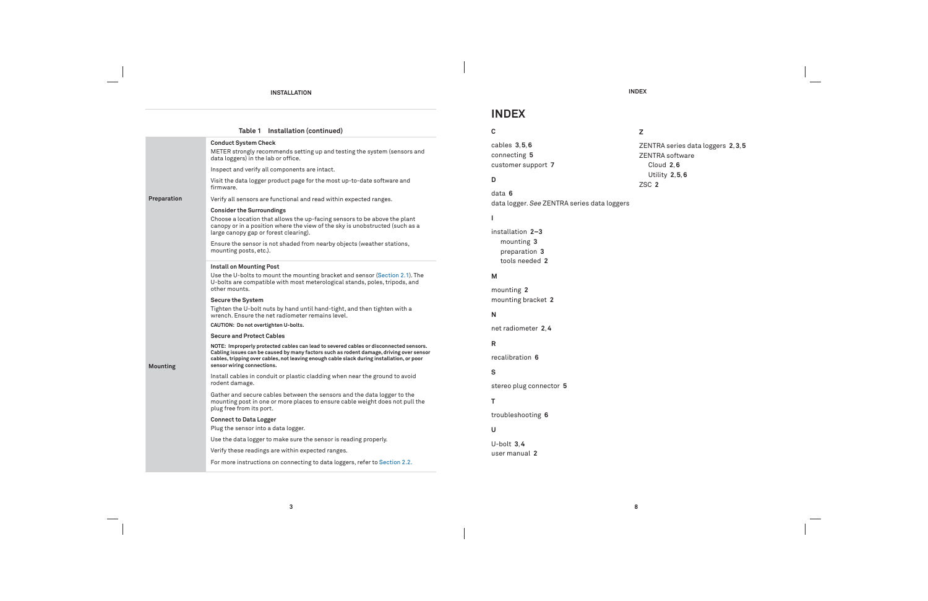**M** 

 $\overline{\phantom{a}}$ 

 $\overline{\phantom{a}}$ 

### **INSTALLATION**

|             | Table 1 Installation (continued)                                                                                                                                                                                                                                              | C                         |
|-------------|-------------------------------------------------------------------------------------------------------------------------------------------------------------------------------------------------------------------------------------------------------------------------------|---------------------------|
|             | <b>Conduct System Check</b><br>METER strongly recommends setting up and testing the system (sensors and<br>data loggers) in the lab or office.                                                                                                                                | cables $3,$<br>connectin  |
|             | Inspect and verify all components are intact.                                                                                                                                                                                                                                 | customer                  |
|             | Visit the data logger product page for the most up-to-date software and<br>firmware.                                                                                                                                                                                          | D                         |
| Preparation | Verify all sensors are functional and read within expected ranges.                                                                                                                                                                                                            | data 6<br>data logge      |
|             | <b>Consider the Surroundings</b><br>Choose a location that allows the up-facing sensors to be above the plant<br>canopy or in a position where the view of the sky is unobstructed (such as a<br>large canopy gap or forest clearing).                                        | ı<br>installatio          |
|             | Ensure the sensor is not shaded from nearby objects (weather stations,<br>mounting posts, etc.).                                                                                                                                                                              | mounti<br>prepara         |
|             | Install on Mounting Post<br>Use the U-bolts to mount the mounting bracket and sensor (Section 2.1). The<br>U-bolts are compatible with most meterological stands, poles, tripods, and<br>other mounts.                                                                        | tools no<br>М<br>mounting |
|             | <b>Secure the System</b><br>Tighten the U-bolt nuts by hand until hand-tight, and then tighten with a<br>wrench. Ensure the net radiometer remains level.                                                                                                                     | mounting<br>N             |
|             | CAUTION: Do not overtighten U-bolts.                                                                                                                                                                                                                                          | net radion                |
|             | <b>Secure and Protect Cables</b>                                                                                                                                                                                                                                              |                           |
|             | NOTE: Improperly protected cables can lead to severed cables or disconnected sensors.<br>Cabling issues can be caused by many factors such as rodent damage, driving over sensor<br>cables, tripping over cables, not leaving enough cable slack during installation, or poor | R<br>recalibrati          |
| Mounting    | sensor wiring connections.<br>Install cables in conduit or plastic cladding when near the ground to avoid<br>rodent damage.                                                                                                                                                   | S<br>stereo plu           |
|             | Gather and secure cables between the sensors and the data logger to the<br>mounting post in one or more places to ensure cable weight does not pull the<br>plug free from its port.                                                                                           | т                         |
|             | <b>Connect to Data Logger</b>                                                                                                                                                                                                                                                 | troublesh                 |
|             | Plug the sensor into a data logger.                                                                                                                                                                                                                                           | U                         |
|             | Use the data logger to make sure the sensor is reading properly.                                                                                                                                                                                                              |                           |
|             | Verify these readings are within expected ranges.                                                                                                                                                                                                                             | U-bolt $3,4$<br>user manu |
|             | For more instructions on connecting to data loggers, refer to Section 2.2.                                                                                                                                                                                                    |                           |

**INDEX**

### **INDEX**

 $\overline{\phantom{a}}$ 

 $\overline{\phantom{a}}$ 

| C                                                                 | Z                                                       |
|-------------------------------------------------------------------|---------------------------------------------------------|
| cables 3,5,6<br>connecting 5<br>customer support 7                | ZENTRA series da<br><b>ZENTRA</b> software<br>Cloud 2,6 |
| D                                                                 | Utility 2, 5, 6<br>ZSC <sub>2</sub>                     |
| data 6<br>data logger. See ZENTRA series data loggers             |                                                         |
| I                                                                 |                                                         |
| installation 2-3<br>mounting 3<br>preparation 3<br>tools needed 2 |                                                         |
| М                                                                 |                                                         |
| mounting 2<br>mounting bracket 2                                  |                                                         |
| N                                                                 |                                                         |
| net radiometer 2,4                                                |                                                         |
| R                                                                 |                                                         |
| recalibration 6                                                   |                                                         |
| S                                                                 |                                                         |
| stereo plug connector 5                                           |                                                         |
| т                                                                 |                                                         |
| troubleshooting 6                                                 |                                                         |
| U                                                                 |                                                         |
| U-bolt $3,4$<br>user manual 2                                     |                                                         |
|                                                                   |                                                         |

ZENTRA series data loggers **2**, **3**, **5**

 $\hspace{0.05cm}$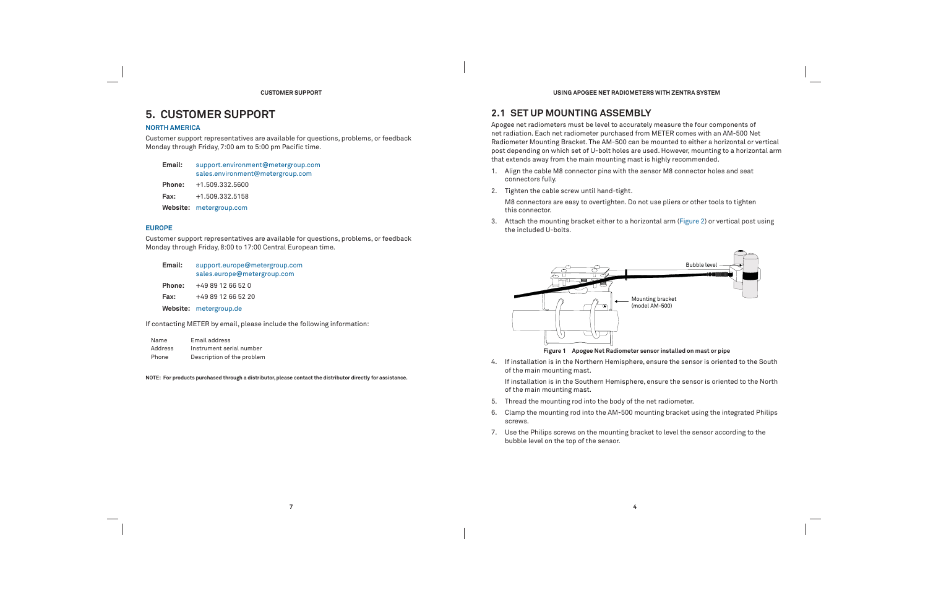### **CUSTOMER SUPPORT**

## **5. CUSTOMER SUPPORT**

### **NORTH AMERICA**

Customer support representatives are available for questions, problems, or feedback Monday through Friday, 7:00 am to 5:00 pm Pacific time.

| Email:        | support.environment@metergroup.com |
|---------------|------------------------------------|
|               | sales.environment@metergroup.com   |
| <b>Phone:</b> | +1.509.332.5600                    |

**Fax:**+1.509.332.5158

**Website:** metergroup.com

#### **EUROPE**

Customer support representatives are available for questions, problems, or feedback Monday through Friday, 8:00 to 17:00 Central European time.

| Email: | support.europe@metergroup.com<br>sales.europe@metergroup.com |
|--------|--------------------------------------------------------------|
| Phone: | +49 89 12 66 52 0                                            |
| Fax:   | +49 89 12 66 52 20                                           |
|        | Website: metergroup.de                                       |
|        |                                                              |

If contacting METER by email, please include the following information:

| Name    | Email address              |
|---------|----------------------------|
| Address | Instrument serial number   |
| Phone   | Description of the problem |

**NOTE: For products purchased through a distributor, please contact the distributor directly for assistance.**

**4**

**USING APOGEE NET RADIOMETERS WITH ZENTRA SYSTEM**

### **2.1 SET UP MOUNTING ASSEMBLY**

Apogee net radiometers must be level to accurately measure the four components of net radiation. Each net radiometer purchased from METER comes with an AM-500 Net Radiometer Mounting Bracket. The AM-500 can be mounted to either a horizontal or vertical post depending on which set of U-bolt holes are used. However, mounting to a horizontal arm that extends away from the main mounting mast is highly recommended.

- 1. Align the cable M8 connector pins with the sensor M8 connector holes and seat connectors fully.
- 2. Tighten the cable screw until hand-tight. M8 connectors are easy to overtighten. Do not use pliers or other tools to tighten this connector.
- 3. Attach the mounting bracket either to a horizontal arm (Figure 2) or vertical post using the included U-bolts.





**Figure 1 Apogee Net Radiometer sensor installed on mast or pipe**

4. If installation is in the Northern Hemisphere, ensure the sensor is oriented to the South of the main mounting mast.

If installation is in the Southern Hemisphere, ensure the sensor is oriented to the North of the main mounting mast.

- 5. Thread the mounting rod into the body of the net radiometer.
- 6. Clamp the mounting rod into the AM-500 mounting bracket using the integrated Philips screws.
- 7. Use the Philips screws on the mounting bracket to level the sensor according to the bubble level on the top of the sensor.